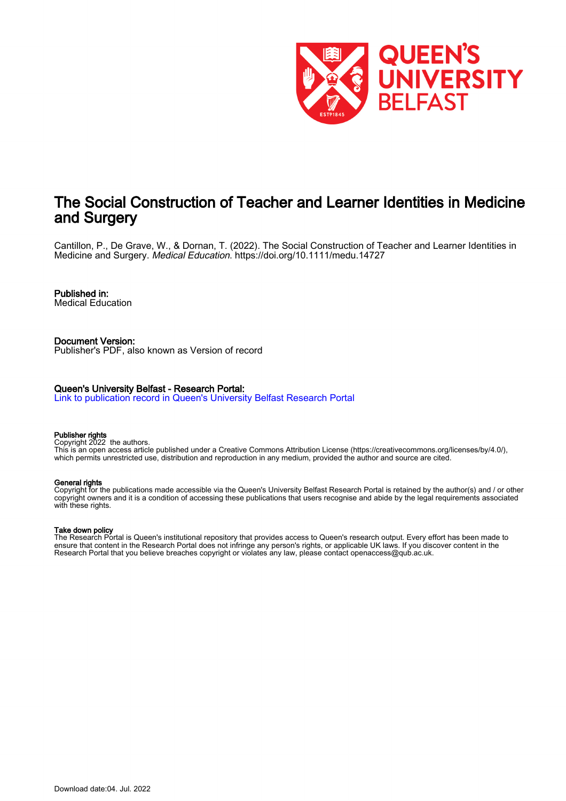

# The Social Construction of Teacher and Learner Identities in Medicine and Surgery

Cantillon, P., De Grave, W., & Dornan, T. (2022). The Social Construction of Teacher and Learner Identities in Medicine and Surgery. Medical Education. <https://doi.org/10.1111/medu.14727>

# Published in:

Medical Education

Document Version: Publisher's PDF, also known as Version of record

#### Queen's University Belfast - Research Portal:

[Link to publication record in Queen's University Belfast Research Portal](https://pure.qub.ac.uk/en/publications/850ef738-d563-4f4a-963c-ae467ec0883d)

#### Publisher rights

Copyright 2022 the authors.

This is an open access article published under a Creative Commons Attribution License (https://creativecommons.org/licenses/by/4.0/), which permits unrestricted use, distribution and reproduction in any medium, provided the author and source are cited.

#### General rights

Copyright for the publications made accessible via the Queen's University Belfast Research Portal is retained by the author(s) and / or other copyright owners and it is a condition of accessing these publications that users recognise and abide by the legal requirements associated with these rights.

# Take down policy

The Research Portal is Queen's institutional repository that provides access to Queen's research output. Every effort has been made to ensure that content in the Research Portal does not infringe any person's rights, or applicable UK laws. If you discover content in the Research Portal that you believe breaches copyright or violates any law, please contact openaccess@qub.ac.uk.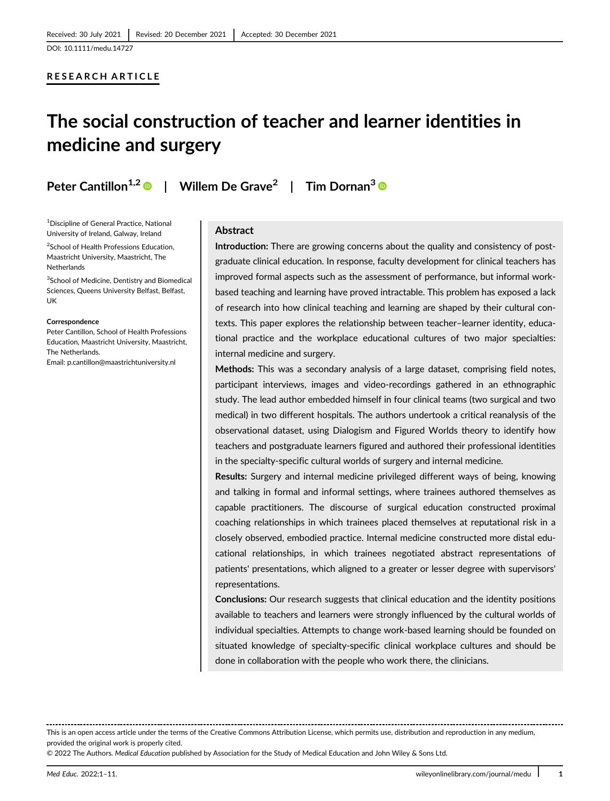#### RESEARCH ARTICLE

# The social construction of teacher and learner identities in medicine and surgery

Peter Cantillon<sup>1,2</sup> <sup>D</sup> | Willem De Grave<sup>2</sup> | Tim Dornan<sup>3</sup> D

1 Discipline of General Practice, National University of Ireland, Galway, Ireland

2 School of Health Professions Education, Maastricht University, Maastricht, The Netherlands

<sup>3</sup>School of Medicine, Dentistry and Biomedical Sciences, Queens University Belfast, Belfast, UK

#### **Correspondence**

Peter Cantillon, School of Health Professions Education, Maastricht University, Maastricht, The Netherlands.

Email: [p.cantillon@maastrichtuniversity.nl](mailto:p.cantillon@maastrichtuniversity.nl)

# Abstract

Introduction: There are growing concerns about the quality and consistency of postgraduate clinical education. In response, faculty development for clinical teachers has improved formal aspects such as the assessment of performance, but informal workbased teaching and learning have proved intractable. This problem has exposed a lack of research into how clinical teaching and learning are shaped by their cultural contexts. This paper explores the relationship between teacher–learner identity, educational practice and the workplace educational cultures of two major specialties: internal medicine and surgery.

Methods: This was a secondary analysis of a large dataset, comprising field notes, participant interviews, images and video-recordings gathered in an ethnographic study. The lead author embedded himself in four clinical teams (two surgical and two medical) in two different hospitals. The authors undertook a critical reanalysis of the observational dataset, using Dialogism and Figured Worlds theory to identify how teachers and postgraduate learners figured and authored their professional identities in the specialty-specific cultural worlds of surgery and internal medicine.

Results: Surgery and internal medicine privileged different ways of being, knowing and talking in formal and informal settings, where trainees authored themselves as capable practitioners. The discourse of surgical education constructed proximal coaching relationships in which trainees placed themselves at reputational risk in a closely observed, embodied practice. Internal medicine constructed more distal educational relationships, in which trainees negotiated abstract representations of patients' presentations, which aligned to a greater or lesser degree with supervisors' representations.

Conclusions: Our research suggests that clinical education and the identity positions available to teachers and learners were strongly influenced by the cultural worlds of individual specialties. Attempts to change work-based learning should be founded on situated knowledge of specialty-specific clinical workplace cultures and should be done in collaboration with the people who work there, the clinicians.

This is an open access article under the terms of the [Creative Commons Attribution](http://creativecommons.org/licenses/by/4.0/) License, which permits use, distribution and reproduction in any medium, provided the original work is properly cited.

© 2022 The Authors. Medical Education published by Association for the Study of Medical Education and John Wiley & Sons Ltd.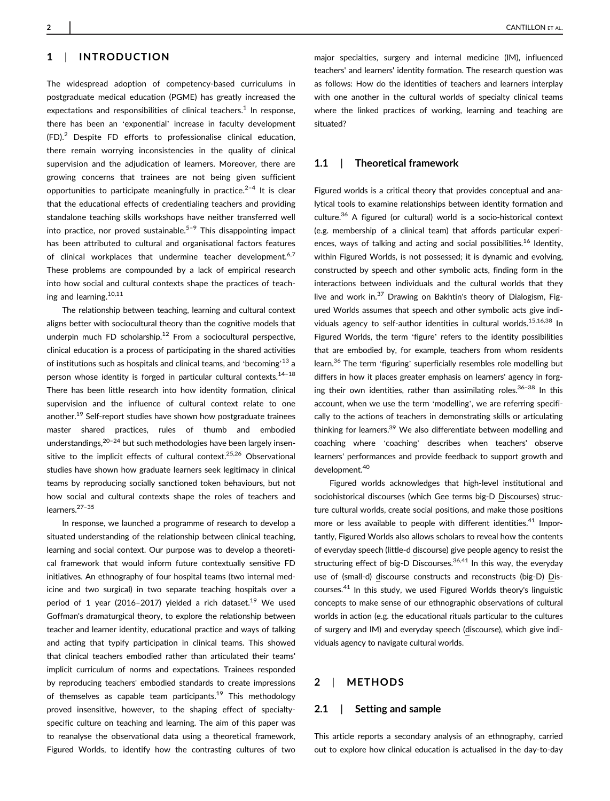The widespread adoption of competency-based curriculums in postgraduate medical education (PGME) has greatly increased the expectations and responsibilities of clinical teachers.<sup>1</sup> In response, there has been an 'exponential' increase in faculty development (FD).<sup>2</sup> Despite FD efforts to professionalise clinical education, there remain worrying inconsistencies in the quality of clinical supervision and the adjudication of learners. Moreover, there are growing concerns that trainees are not being given sufficient opportunities to participate meaningfully in practice. $2-4$  It is clear that the educational effects of credentialing teachers and providing standalone teaching skills workshops have neither transferred well into practice, nor proved sustainable.<sup>5-9</sup> This disappointing impact has been attributed to cultural and organisational factors features of clinical workplaces that undermine teacher development.<sup>6,7</sup> These problems are compounded by a lack of empirical research into how social and cultural contexts shape the practices of teaching and learning.<sup>10,11</sup>

The relationship between teaching, learning and cultural context aligns better with sociocultural theory than the cognitive models that underpin much FD scholarship. $12$  From a sociocultural perspective, clinical education is a process of participating in the shared activities of institutions such as hospitals and clinical teams, and 'becoming'<sup>13</sup> a person whose identity is forged in particular cultural contexts.<sup>14-18</sup> There has been little research into how identity formation, clinical supervision and the influence of cultural context relate to one another.<sup>19</sup> Self-report studies have shown how postgraduate trainees master shared practices, rules of thumb and embodied understandings,  $20-24$  but such methodologies have been largely insensitive to the implicit effects of cultural context.<sup>25,26</sup> Observational studies have shown how graduate learners seek legitimacy in clinical teams by reproducing socially sanctioned token behaviours, but not how social and cultural contexts shape the roles of teachers and learners.27–<sup>35</sup>

In response, we launched a programme of research to develop a situated understanding of the relationship between clinical teaching, learning and social context. Our purpose was to develop a theoretical framework that would inform future contextually sensitive FD initiatives. An ethnography of four hospital teams (two internal medicine and two surgical) in two separate teaching hospitals over a period of 1 year (2016–2017) yielded a rich dataset.<sup>19</sup> We used Goffman's dramaturgical theory, to explore the relationship between teacher and learner identity, educational practice and ways of talking and acting that typify participation in clinical teams. This showed that clinical teachers embodied rather than articulated their teams' implicit curriculum of norms and expectations. Trainees responded by reproducing teachers' embodied standards to create impressions of themselves as capable team participants.<sup>19</sup> This methodology proved insensitive, however, to the shaping effect of specialtyspecific culture on teaching and learning. The aim of this paper was to reanalyse the observational data using a theoretical framework, Figured Worlds, to identify how the contrasting cultures of two

major specialties, surgery and internal medicine (IM), influenced teachers' and learners' identity formation. The research question was as follows: How do the identities of teachers and learners interplay with one another in the cultural worlds of specialty clinical teams where the linked practices of working, learning and teaching are situated?

#### 1.1 | Theoretical framework

Figured worlds is a critical theory that provides conceptual and analytical tools to examine relationships between identity formation and culture.36 A figured (or cultural) world is a socio-historical context (e.g. membership of a clinical team) that affords particular experiences, ways of talking and acting and social possibilities.<sup>16</sup> Identity, within Figured Worlds, is not possessed; it is dynamic and evolving, constructed by speech and other symbolic acts, finding form in the interactions between individuals and the cultural worlds that they live and work in.<sup>37</sup> Drawing on Bakhtin's theory of Dialogism, Figured Worlds assumes that speech and other symbolic acts give individuals agency to self-author identities in cultural worlds.<sup>15,16,38</sup> In Figured Worlds, the term 'figure' refers to the identity possibilities that are embodied by, for example, teachers from whom residents learn.<sup>36</sup> The term 'figuring' superficially resembles role modelling but differs in how it places greater emphasis on learners' agency in forging their own identities, rather than assimilating roles.<sup>36-38</sup> In this account, when we use the term 'modelling', we are referring specifically to the actions of teachers in demonstrating skills or articulating thinking for learners.<sup>39</sup> We also differentiate between modelling and coaching where 'coaching' describes when teachers' observe learners' performances and provide feedback to support growth and development.<sup>40</sup>

Figured worlds acknowledges that high-level institutional and sociohistorical discourses (which Gee terms big-D Discourses) structure cultural worlds, create social positions, and make those positions more or less available to people with different identities.<sup>41</sup> Importantly, Figured Worlds also allows scholars to reveal how the contents of everyday speech (little-d discourse) give people agency to resist the structuring effect of big-D Discourses. $36,41$  In this way, the everyday use of (small-d) discourse constructs and reconstructs (big-D) Discourses.<sup>41</sup> In this study, we used Figured Worlds theory's linguistic concepts to make sense of our ethnographic observations of cultural worlds in action (e.g. the educational rituals particular to the cultures of surgery and IM) and everyday speech (discourse), which give individuals agency to navigate cultural worlds.

#### 2 | METHODS

#### 2.1 | Setting and sample

This article reports a secondary analysis of an ethnography, carried out to explore how clinical education is actualised in the day-to-day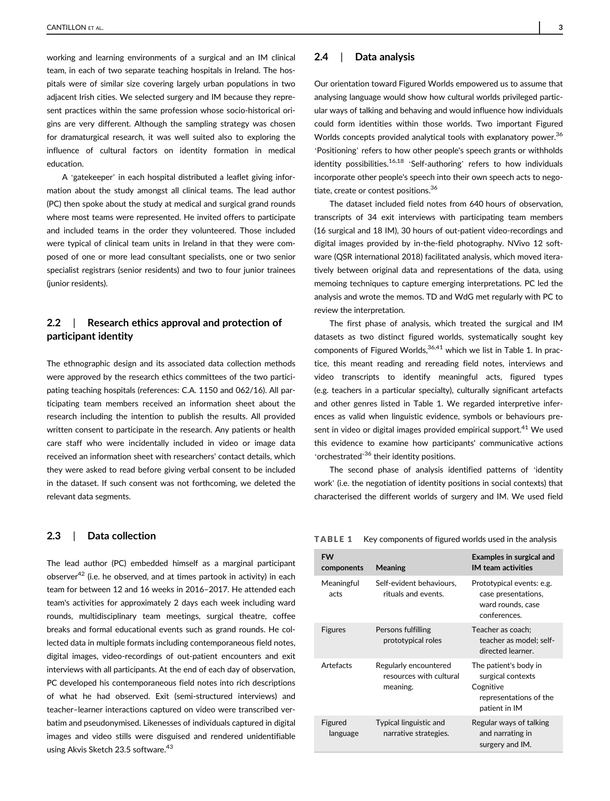working and learning environments of a surgical and an IM clinical team, in each of two separate teaching hospitals in Ireland. The hospitals were of similar size covering largely urban populations in two adjacent Irish cities. We selected surgery and IM because they represent practices within the same profession whose socio-historical origins are very different. Although the sampling strategy was chosen for dramaturgical research, it was well suited also to exploring the influence of cultural factors on identity formation in medical education.

A 'gatekeeper' in each hospital distributed a leaflet giving information about the study amongst all clinical teams. The lead author (PC) then spoke about the study at medical and surgical grand rounds where most teams were represented. He invited offers to participate and included teams in the order they volunteered. Those included were typical of clinical team units in Ireland in that they were composed of one or more lead consultant specialists, one or two senior specialist registrars (senior residents) and two to four junior trainees (junior residents).

# 2.2 | Research ethics approval and protection of participant identity

The ethnographic design and its associated data collection methods were approved by the research ethics committees of the two participating teaching hospitals (references: C.A. 1150 and 062/16). All participating team members received an information sheet about the research including the intention to publish the results. All provided written consent to participate in the research. Any patients or health care staff who were incidentally included in video or image data received an information sheet with researchers' contact details, which they were asked to read before giving verbal consent to be included in the dataset. If such consent was not forthcoming, we deleted the relevant data segments.

# 2.3 | Data collection

The lead author (PC) embedded himself as a marginal participant observer $42$  (i.e. he observed, and at times partook in activity) in each team for between 12 and 16 weeks in 2016–2017. He attended each team's activities for approximately 2 days each week including ward rounds, multidisciplinary team meetings, surgical theatre, coffee breaks and formal educational events such as grand rounds. He collected data in multiple formats including contemporaneous field notes, digital images, video-recordings of out-patient encounters and exit interviews with all participants. At the end of each day of observation, PC developed his contemporaneous field notes into rich descriptions of what he had observed. Exit (semi-structured interviews) and teacher–learner interactions captured on video were transcribed verbatim and pseudonymised. Likenesses of individuals captured in digital images and video stills were disguised and rendered unidentifiable using Akvis Sketch 23.5 software.<sup>43</sup>

#### 2.4 | Data analysis

Our orientation toward Figured Worlds empowered us to assume that analysing language would show how cultural worlds privileged particular ways of talking and behaving and would influence how individuals could form identities within those worlds. Two important Figured Worlds concepts provided analytical tools with explanatory power.<sup>36</sup> 'Positioning' refers to how other people's speech grants or withholds identity possibilities.<sup>16,18</sup> 'Self-authoring' refers to how individuals incorporate other people's speech into their own speech acts to negotiate, create or contest positions.36

The dataset included field notes from 640 hours of observation, transcripts of 34 exit interviews with participating team members (16 surgical and 18 IM), 30 hours of out-patient video-recordings and digital images provided by in-the-field photography. NVivo 12 software (QSR international 2018) facilitated analysis, which moved iteratively between original data and representations of the data, using memoing techniques to capture emerging interpretations. PC led the analysis and wrote the memos. TD and WdG met regularly with PC to review the interpretation.

The first phase of analysis, which treated the surgical and IM datasets as two distinct figured worlds, systematically sought key components of Figured Worlds,  $36,41$  which we list in Table 1. In practice, this meant reading and rereading field notes, interviews and video transcripts to identify meaningful acts, figured types (e.g. teachers in a particular specialty), culturally significant artefacts and other genres listed in Table 1. We regarded interpretive inferences as valid when linguistic evidence, symbols or behaviours present in video or digital images provided empirical support.<sup>41</sup> We used this evidence to examine how participants' communicative actions 'orchestrated'<sup>36</sup> their identity positions.

The second phase of analysis identified patterns of 'identity work' (i.e. the negotiation of identity positions in social contexts) that characterised the different worlds of surgery and IM. We used field

| <b>TABLE 1</b> |  |  | Key components of figured worlds used in the analysis |
|----------------|--|--|-------------------------------------------------------|
|----------------|--|--|-------------------------------------------------------|

| <b>FW</b><br>components | Meaning                                                      | <b>Examples in surgical and</b><br><b>IM</b> team activities                                       |
|-------------------------|--------------------------------------------------------------|----------------------------------------------------------------------------------------------------|
| Meaningful<br>acts      | Self-evident behaviours,<br>rituals and events.              | Prototypical events: e.g.<br>case presentations,<br>ward rounds, case<br>conferences.              |
| <b>Figures</b>          | Persons fulfilling<br>prototypical roles                     | Teacher as coach;<br>teacher as model; self-<br>directed learner.                                  |
| <b>Artefacts</b>        | Regularly encountered<br>resources with cultural<br>meaning. | The patient's body in<br>surgical contexts<br>Cognitive<br>representations of the<br>patient in IM |
| Figured<br>language     | Typical linguistic and<br>narrative strategies.              | Regular ways of talking<br>and narrating in<br>surgery and IM.                                     |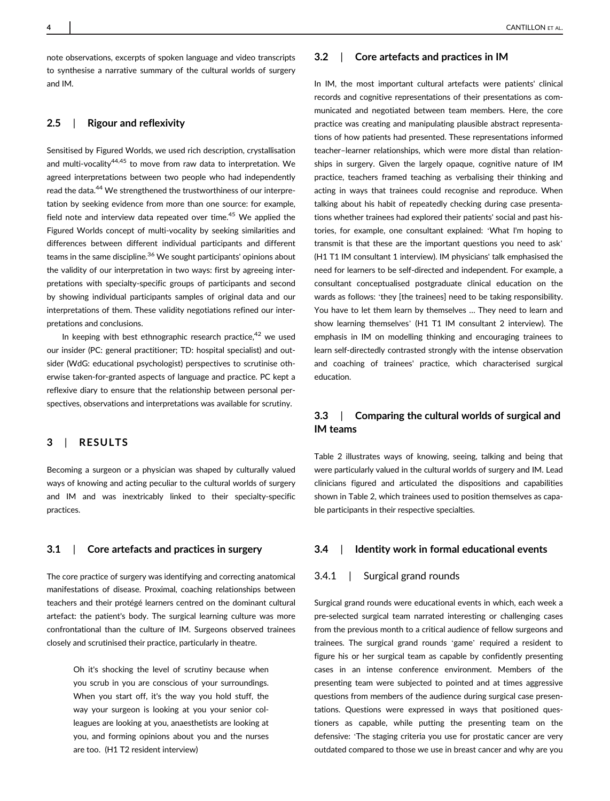note observations, excerpts of spoken language and video transcripts to synthesise a narrative summary of the cultural worlds of surgery and IM.

# 2.5 | Rigour and reflexivity

Sensitised by Figured Worlds, we used rich description, crystallisation and multi-vocalitv<sup>44,45</sup> to move from raw data to interpretation. We agreed interpretations between two people who had independently read the data.<sup>44</sup> We strengthened the trustworthiness of our interpretation by seeking evidence from more than one source: for example, field note and interview data repeated over time.<sup>45</sup> We applied the Figured Worlds concept of multi-vocality by seeking similarities and differences between different individual participants and different teams in the same discipline.<sup>36</sup> We sought participants' opinions about the validity of our interpretation in two ways: first by agreeing interpretations with specialty-specific groups of participants and second by showing individual participants samples of original data and our interpretations of them. These validity negotiations refined our interpretations and conclusions.

In keeping with best ethnographic research practice, $42$  we used our insider (PC: general practitioner; TD: hospital specialist) and outsider (WdG: educational psychologist) perspectives to scrutinise otherwise taken-for-granted aspects of language and practice. PC kept a reflexive diary to ensure that the relationship between personal perspectives, observations and interpretations was available for scrutiny.

#### 3 | RESULTS

Becoming a surgeon or a physician was shaped by culturally valued ways of knowing and acting peculiar to the cultural worlds of surgery and IM and was inextricably linked to their specialty-specific practices.

#### 3.1 | Core artefacts and practices in surgery

The core practice of surgery was identifying and correcting anatomical manifestations of disease. Proximal, coaching relationships between teachers and their protégé learners centred on the dominant cultural artefact: the patient's body. The surgical learning culture was more confrontational than the culture of IM. Surgeons observed trainees closely and scrutinised their practice, particularly in theatre.

> Oh it's shocking the level of scrutiny because when you scrub in you are conscious of your surroundings. When you start off, it's the way you hold stuff, the way your surgeon is looking at you your senior colleagues are looking at you, anaesthetists are looking at you, and forming opinions about you and the nurses are too. (H1 T2 resident interview)

#### 3.2 | Core artefacts and practices in IM

In IM, the most important cultural artefacts were patients' clinical records and cognitive representations of their presentations as communicated and negotiated between team members. Here, the core practice was creating and manipulating plausible abstract representations of how patients had presented. These representations informed teacher–learner relationships, which were more distal than relationships in surgery. Given the largely opaque, cognitive nature of IM practice, teachers framed teaching as verbalising their thinking and acting in ways that trainees could recognise and reproduce. When talking about his habit of repeatedly checking during case presentations whether trainees had explored their patients' social and past histories, for example, one consultant explained: 'What I'm hoping to transmit is that these are the important questions you need to ask' (H1 T1 IM consultant 1 interview). IM physicians' talk emphasised the need for learners to be self-directed and independent. For example, a consultant conceptualised postgraduate clinical education on the wards as follows: 'they [the trainees] need to be taking responsibility. You have to let them learn by themselves … They need to learn and show learning themselves' (H1 T1 IM consultant 2 interview). The emphasis in IM on modelling thinking and encouraging trainees to learn self-directedly contrasted strongly with the intense observation and coaching of trainees' practice, which characterised surgical education.

# 3.3 | Comparing the cultural worlds of surgical and IM teams

Table 2 illustrates ways of knowing, seeing, talking and being that were particularly valued in the cultural worlds of surgery and IM. Lead clinicians figured and articulated the dispositions and capabilities shown in Table 2, which trainees used to position themselves as capable participants in their respective specialties.

#### 3.4 | Identity work in formal educational events

#### 3.4.1 | Surgical grand rounds

Surgical grand rounds were educational events in which, each week a pre-selected surgical team narrated interesting or challenging cases from the previous month to a critical audience of fellow surgeons and trainees. The surgical grand rounds 'game' required a resident to figure his or her surgical team as capable by confidently presenting cases in an intense conference environment. Members of the presenting team were subjected to pointed and at times aggressive questions from members of the audience during surgical case presentations. Questions were expressed in ways that positioned questioners as capable, while putting the presenting team on the defensive: 'The staging criteria you use for prostatic cancer are very outdated compared to those we use in breast cancer and why are you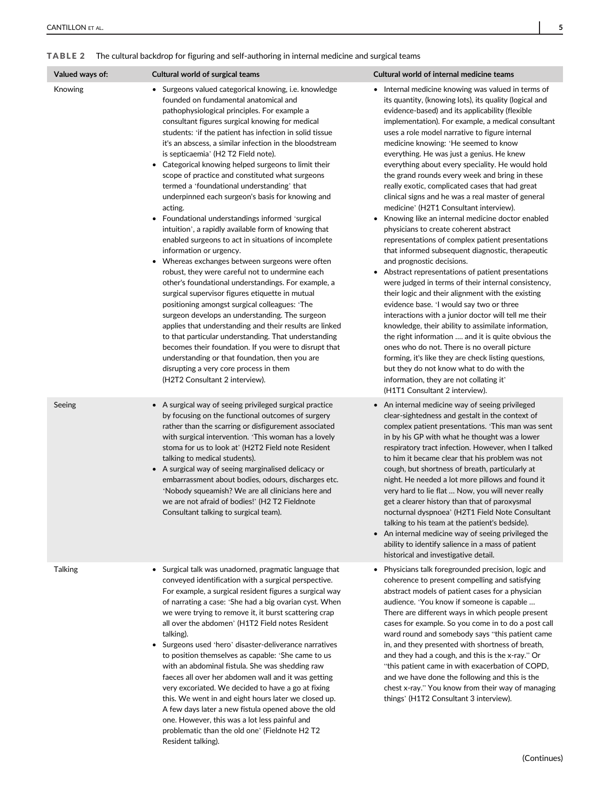# TABLE 2 The cultural backdrop for figuring and self-authoring in internal medicine and surgical teams

| Valued ways of: | Cultural world of surgical teams                                                                                                                                                                                                                                                                                                                                                                                                                                                                                                                                                                                                                                                                                                                                                                                                                                                                                                                                                                                                                                                                                                                                                                                                                                                                                                                                                                                                                   | Cultural world of internal medicine teams                                                                                                                                                                                                                                                                                                                                                                                                                                                                                                                                                                                                                                                                                                                                                                                                                                                                                                                                                                                                                                                                                                                                                                                                                                                                                                                                                                                                                                                   |
|-----------------|----------------------------------------------------------------------------------------------------------------------------------------------------------------------------------------------------------------------------------------------------------------------------------------------------------------------------------------------------------------------------------------------------------------------------------------------------------------------------------------------------------------------------------------------------------------------------------------------------------------------------------------------------------------------------------------------------------------------------------------------------------------------------------------------------------------------------------------------------------------------------------------------------------------------------------------------------------------------------------------------------------------------------------------------------------------------------------------------------------------------------------------------------------------------------------------------------------------------------------------------------------------------------------------------------------------------------------------------------------------------------------------------------------------------------------------------------|---------------------------------------------------------------------------------------------------------------------------------------------------------------------------------------------------------------------------------------------------------------------------------------------------------------------------------------------------------------------------------------------------------------------------------------------------------------------------------------------------------------------------------------------------------------------------------------------------------------------------------------------------------------------------------------------------------------------------------------------------------------------------------------------------------------------------------------------------------------------------------------------------------------------------------------------------------------------------------------------------------------------------------------------------------------------------------------------------------------------------------------------------------------------------------------------------------------------------------------------------------------------------------------------------------------------------------------------------------------------------------------------------------------------------------------------------------------------------------------------|
| Knowing         | Surgeons valued categorical knowing, i.e. knowledge<br>$\bullet$<br>founded on fundamental anatomical and<br>pathophysiological principles. For example a<br>consultant figures surgical knowing for medical<br>students: 'if the patient has infection in solid tissue<br>it's an abscess, a similar infection in the bloodstream<br>is septicaemia' (H2 T2 Field note).<br>• Categorical knowing helped surgeons to limit their<br>scope of practice and constituted what surgeons<br>termed a 'foundational understanding' that<br>underpinned each surgeon's basis for knowing and<br>acting.<br>Foundational understandings informed 'surgical<br>$\bullet$<br>intuition', a rapidly available form of knowing that<br>enabled surgeons to act in situations of incomplete<br>information or urgency.<br>Whereas exchanges between surgeons were often<br>$\bullet$<br>robust, they were careful not to undermine each<br>other's foundational understandings. For example, a<br>surgical supervisor figures etiquette in mutual<br>positioning amongst surgical colleagues: 'The<br>surgeon develops an understanding. The surgeon<br>applies that understanding and their results are linked<br>to that particular understanding. That understanding<br>becomes their foundation. If you were to disrupt that<br>understanding or that foundation, then you are<br>disrupting a very core process in them<br>(H2T2 Consultant 2 interview). | Internal medicine knowing was valued in terms of<br>its quantity, (knowing lots), its quality (logical and<br>evidence-based) and its applicability (flexible<br>implementation). For example, a medical consultant<br>uses a role model narrative to figure internal<br>medicine knowing: 'He seemed to know<br>everything. He was just a genius. He knew<br>everything about every speciality. He would hold<br>the grand rounds every week and bring in these<br>really exotic, complicated cases that had great<br>clinical signs and he was a real master of general<br>medicine' (H2T1 Consultant interview).<br>Knowing like an internal medicine doctor enabled<br>٠<br>physicians to create coherent abstract<br>representations of complex patient presentations<br>that informed subsequent diagnostic, therapeutic<br>and prognostic decisions.<br>Abstract representations of patient presentations<br>$\bullet$<br>were judged in terms of their internal consistency,<br>their logic and their alignment with the existing<br>evidence base. 'I would say two or three<br>interactions with a junior doctor will tell me their<br>knowledge, their ability to assimilate information,<br>the right information  and it is quite obvious the<br>ones who do not. There is no overall picture<br>forming, it's like they are check listing questions,<br>but they do not know what to do with the<br>information, they are not collating it'<br>(H1T1 Consultant 2 interview). |
| Seeing          | • A surgical way of seeing privileged surgical practice<br>by focusing on the functional outcomes of surgery<br>rather than the scarring or disfigurement associated<br>with surgical intervention. 'This woman has a lovely<br>stoma for us to look at' (H2T2 Field note Resident<br>talking to medical students).<br>• A surgical way of seeing marginalised delicacy or<br>embarrassment about bodies, odours, discharges etc.<br>'Nobody squeamish? We are all clinicians here and<br>we are not afraid of bodies!' (H2 T2 Fieldnote<br>Consultant talking to surgical team).                                                                                                                                                                                                                                                                                                                                                                                                                                                                                                                                                                                                                                                                                                                                                                                                                                                                  | An internal medicine way of seeing privileged<br>clear-sightedness and gestalt in the context of<br>complex patient presentations. 'This man was sent<br>in by his GP with what he thought was a lower<br>respiratory tract infection. However, when I talked<br>to him it became clear that his problem was not<br>cough, but shortness of breath, particularly at<br>night. He needed a lot more pillows and found it<br>very hard to lie flat  Now, you will never really<br>get a clearer history than that of paroxysmal<br>nocturnal dyspnoea' (H2T1 Field Note Consultant<br>talking to his team at the patient's bedside).<br>An internal medicine way of seeing privileged the<br>ability to identify salience in a mass of patient<br>historical and investigative detail.                                                                                                                                                                                                                                                                                                                                                                                                                                                                                                                                                                                                                                                                                                        |
| <b>Talking</b>  | Surgical talk was unadorned, pragmatic language that<br>conveyed identification with a surgical perspective.<br>For example, a surgical resident figures a surgical way<br>of narrating a case: 'She had a big ovarian cyst. When<br>we were trying to remove it, it burst scattering crap<br>all over the abdomen' (H1T2 Field notes Resident<br>talking).<br>Surgeons used 'hero' disaster-deliverance narratives<br>$\bullet$<br>to position themselves as capable: 'She came to us<br>with an abdominal fistula. She was shedding raw<br>faeces all over her abdomen wall and it was getting<br>very excoriated. We decided to have a go at fixing<br>this. We went in and eight hours later we closed up.<br>A few days later a new fistula opened above the old<br>one. However, this was a lot less painful and                                                                                                                                                                                                                                                                                                                                                                                                                                                                                                                                                                                                                             | Physicians talk foregrounded precision, logic and<br>coherence to present compelling and satisfying<br>abstract models of patient cases for a physician<br>audience. 'You know if someone is capable<br>There are different ways in which people present<br>cases for example. So you come in to do a post call<br>ward round and somebody says "this patient came<br>in, and they presented with shortness of breath,<br>and they had a cough, and this is the x-ray." Or<br>"this patient came in with exacerbation of COPD,<br>and we have done the following and this is the<br>chest x-ray." You know from their way of managing<br>things' (H1T2 Consultant 3 interview).                                                                                                                                                                                                                                                                                                                                                                                                                                                                                                                                                                                                                                                                                                                                                                                                             |

problematic than the old one' (Fieldnote H2 T2

Resident talking).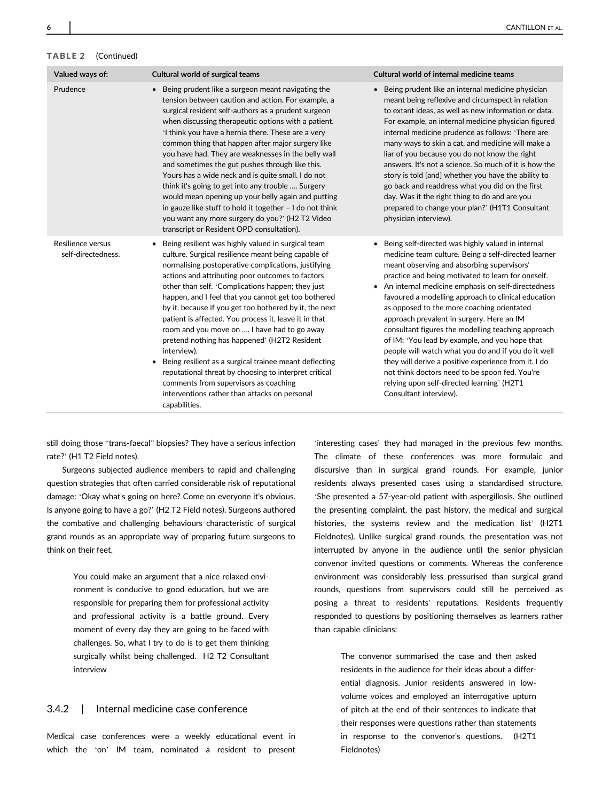# TABLE 2 (Continued)

| Valued ways of:                         | Cultural world of surgical teams                                                                                                                                                                                                                                                                                                                                                                                                                                                                                                                                                                                                                                                                                                                                                                             | Cultural world of internal medicine teams                                                                                                                                                                                                                                                                                                                                                                                                                                                                                                                                                                                                                                                                                                                                  |
|-----------------------------------------|--------------------------------------------------------------------------------------------------------------------------------------------------------------------------------------------------------------------------------------------------------------------------------------------------------------------------------------------------------------------------------------------------------------------------------------------------------------------------------------------------------------------------------------------------------------------------------------------------------------------------------------------------------------------------------------------------------------------------------------------------------------------------------------------------------------|----------------------------------------------------------------------------------------------------------------------------------------------------------------------------------------------------------------------------------------------------------------------------------------------------------------------------------------------------------------------------------------------------------------------------------------------------------------------------------------------------------------------------------------------------------------------------------------------------------------------------------------------------------------------------------------------------------------------------------------------------------------------------|
| Prudence                                | Being prudent like a surgeon meant navigating the<br>$\bullet$<br>tension between caution and action. For example, a<br>surgical resident self-authors as a prudent surgeon<br>when discussing therapeutic options with a patient.<br>'I think you have a hernia there. These are a very<br>common thing that happen after major surgery like<br>you have had. They are weaknesses in the belly wall<br>and sometimes the gut pushes through like this.<br>Yours has a wide neck and is quite small. I do not<br>think it's going to get into any trouble  Surgery<br>would mean opening up your belly again and putting<br>in gauze like stuff to hold it together - I do not think<br>you want any more surgery do you?' (H2 T2 Video<br>transcript or Resident OPD consultation).                         | • Being prudent like an internal medicine physician<br>meant being reflexive and circumspect in relation<br>to extant ideas, as well as new information or data.<br>For example, an internal medicine physician figured<br>internal medicine prudence as follows: 'There are<br>many ways to skin a cat, and medicine will make a<br>liar of you because you do not know the right<br>answers. It's not a science. So much of it is how the<br>story is told [and] whether you have the ability to<br>go back and readdress what you did on the first<br>day. Was it the right thing to do and are you<br>prepared to change your plan?' (H1T1 Consultant<br>physician interview).                                                                                         |
| Resilience versus<br>self-directedness. | Being resilient was highly valued in surgical team<br>culture. Surgical resilience meant being capable of<br>normalising postoperative complications, justifying<br>actions and attributing poor outcomes to factors<br>other than self. 'Complications happen; they just<br>happen, and I feel that you cannot get too bothered<br>by it, because if you get too bothered by it, the next<br>patient is affected. You process it, leave it in that<br>room and you move on  I have had to go away<br>pretend nothing has happened' (H2T2 Resident<br>interview).<br>Being resilient as a surgical trainee meant deflecting<br>$\bullet$<br>reputational threat by choosing to interpret critical<br>comments from supervisors as coaching<br>interventions rather than attacks on personal<br>capabilities. | • Being self-directed was highly valued in internal<br>medicine team culture. Being a self-directed learner<br>meant observing and absorbing supervisors'<br>practice and being motivated to learn for oneself.<br>• An internal medicine emphasis on self-directedness<br>favoured a modelling approach to clinical education<br>as opposed to the more coaching orientated<br>approach prevalent in surgery. Here an IM<br>consultant figures the modelling teaching approach<br>of IM: 'You lead by example, and you hope that<br>people will watch what you do and if you do it well<br>they will derive a positive experience from it. I do<br>not think doctors need to be spoon fed. You're<br>relying upon self-directed learning' (H2T1<br>Consultant interview). |

still doing those "trans-faecal" biopsies? They have a serious infection rate?' (H1 T2 Field notes).

Surgeons subjected audience members to rapid and challenging question strategies that often carried considerable risk of reputational damage: 'Okay what's going on here? Come on everyone it's obvious. Is anyone going to have a go?' (H2 T2 Field notes). Surgeons authored the combative and challenging behaviours characteristic of surgical grand rounds as an appropriate way of preparing future surgeons to think on their feet.

> You could make an argument that a nice relaxed environment is conducive to good education, but we are responsible for preparing them for professional activity and professional activity is a battle ground. Every moment of every day they are going to be faced with challenges. So, what I try to do is to get them thinking surgically whilst being challenged. H2 T2 Consultant interview

# 3.4.2 | Internal medicine case conference

Medical case conferences were a weekly educational event in which the 'on' IM team, nominated a resident to present

'interesting cases' they had managed in the previous few months. The climate of these conferences was more formulaic and discursive than in surgical grand rounds. For example, junior residents always presented cases using a standardised structure. 'She presented a 57-year-old patient with aspergillosis. She outlined the presenting complaint, the past history, the medical and surgical histories, the systems review and the medication list' (H2T1 Fieldnotes). Unlike surgical grand rounds, the presentation was not interrupted by anyone in the audience until the senior physician convenor invited questions or comments. Whereas the conference environment was considerably less pressurised than surgical grand rounds, questions from supervisors could still be perceived as posing a threat to residents' reputations. Residents frequently responded to questions by positioning themselves as learners rather than capable clinicians:

> The convenor summarised the case and then asked residents in the audience for their ideas about a differential diagnosis. Junior residents answered in lowvolume voices and employed an interrogative upturn of pitch at the end of their sentences to indicate that their responses were questions rather than statements in response to the convenor's questions. (H2T1 Fieldnotes)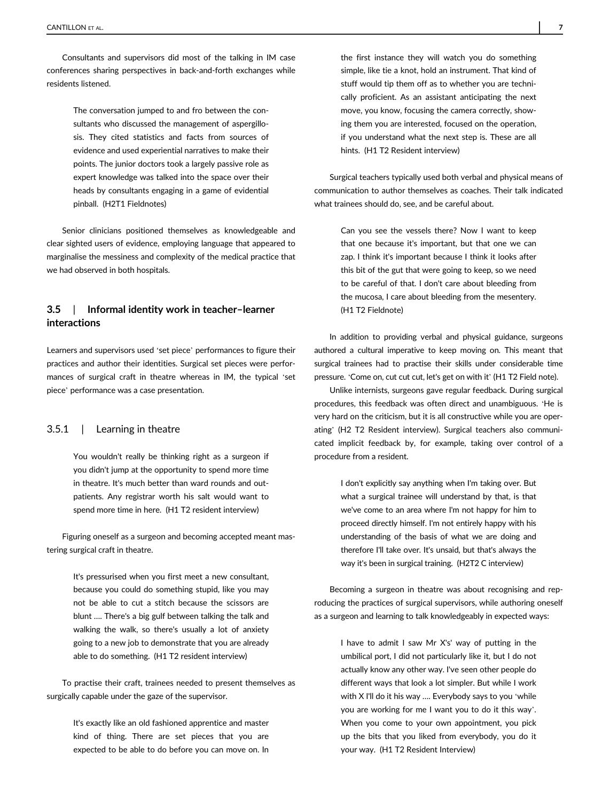Consultants and supervisors did most of the talking in IM case conferences sharing perspectives in back-and-forth exchanges while residents listened.

> The conversation jumped to and fro between the consultants who discussed the management of aspergillosis. They cited statistics and facts from sources of evidence and used experiential narratives to make their points. The junior doctors took a largely passive role as expert knowledge was talked into the space over their heads by consultants engaging in a game of evidential pinball. (H2T1 Fieldnotes)

Senior clinicians positioned themselves as knowledgeable and clear sighted users of evidence, employing language that appeared to marginalise the messiness and complexity of the medical practice that we had observed in both hospitals.

# 3.5 | Informal identity work in teacher–learner interactions

Learners and supervisors used 'set piece' performances to figure their practices and author their identities. Surgical set pieces were performances of surgical craft in theatre whereas in IM, the typical 'set piece' performance was a case presentation.

#### 3.5.1 | Learning in theatre

You wouldn't really be thinking right as a surgeon if you didn't jump at the opportunity to spend more time in theatre. It's much better than ward rounds and outpatients. Any registrar worth his salt would want to spend more time in here. (H1 T2 resident interview)

Figuring oneself as a surgeon and becoming accepted meant mastering surgical craft in theatre.

> It's pressurised when you first meet a new consultant, because you could do something stupid, like you may not be able to cut a stitch because the scissors are blunt …. There's a big gulf between talking the talk and walking the walk, so there's usually a lot of anxiety going to a new job to demonstrate that you are already able to do something. (H1 T2 resident interview)

To practise their craft, trainees needed to present themselves as surgically capable under the gaze of the supervisor.

> It's exactly like an old fashioned apprentice and master kind of thing. There are set pieces that you are expected to be able to do before you can move on. In

the first instance they will watch you do something simple, like tie a knot, hold an instrument. That kind of stuff would tip them off as to whether you are technically proficient. As an assistant anticipating the next move, you know, focusing the camera correctly, showing them you are interested, focused on the operation, if you understand what the next step is. These are all hints. (H1 T2 Resident interview)

Surgical teachers typically used both verbal and physical means of communication to author themselves as coaches. Their talk indicated what trainees should do, see, and be careful about.

> Can you see the vessels there? Now I want to keep that one because it's important, but that one we can zap. I think it's important because I think it looks after this bit of the gut that were going to keep, so we need to be careful of that. I don't care about bleeding from the mucosa, I care about bleeding from the mesentery. (H1 T2 Fieldnote)

In addition to providing verbal and physical guidance, surgeons authored a cultural imperative to keep moving on. This meant that surgical trainees had to practise their skills under considerable time pressure. 'Come on, cut cut cut, let's get on with it' (H1 T2 Field note).

Unlike internists, surgeons gave regular feedback. During surgical procedures, this feedback was often direct and unambiguous. 'He is very hard on the criticism, but it is all constructive while you are operating' (H2 T2 Resident interview). Surgical teachers also communicated implicit feedback by, for example, taking over control of a procedure from a resident.

> I don't explicitly say anything when I'm taking over. But what a surgical trainee will understand by that, is that we've come to an area where I'm not happy for him to proceed directly himself. I'm not entirely happy with his understanding of the basis of what we are doing and therefore I'll take over. It's unsaid, but that's always the way it's been in surgical training. (H2T2 C interview)

Becoming a surgeon in theatre was about recognising and reproducing the practices of surgical supervisors, while authoring oneself as a surgeon and learning to talk knowledgeably in expected ways:

> I have to admit I saw Mr X's' way of putting in the umbilical port, I did not particularly like it, but I do not actually know any other way. I've seen other people do different ways that look a lot simpler. But while I work with X I'll do it his way …. Everybody says to you 'while you are working for me I want you to do it this way'. When you come to your own appointment, you pick up the bits that you liked from everybody, you do it your way. (H1 T2 Resident Interview)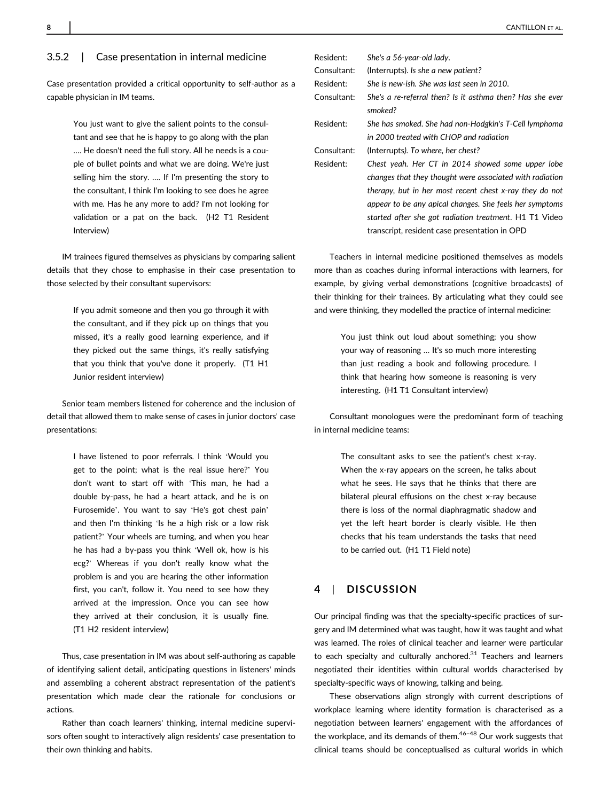#### 3.5.2 | Case presentation in internal medicine

Case presentation provided a critical opportunity to self-author as a capable physician in IM teams.

> You just want to give the salient points to the consultant and see that he is happy to go along with the plan …. He doesn't need the full story. All he needs is a couple of bullet points and what we are doing. We're just selling him the story. …. If I'm presenting the story to the consultant, I think I'm looking to see does he agree with me. Has he any more to add? I'm not looking for validation or a pat on the back. (H2 T1 Resident Interview)

IM trainees figured themselves as physicians by comparing salient details that they chose to emphasise in their case presentation to those selected by their consultant supervisors:

> If you admit someone and then you go through it with the consultant, and if they pick up on things that you missed, it's a really good learning experience, and if they picked out the same things, it's really satisfying that you think that you've done it properly. (T1 H1 Junior resident interview)

Senior team members listened for coherence and the inclusion of detail that allowed them to make sense of cases in junior doctors' case presentations:

> I have listened to poor referrals. I think 'Would you get to the point; what is the real issue here?' You don't want to start off with 'This man, he had a double by-pass, he had a heart attack, and he is on Furosemide'. You want to say 'He's got chest pain' and then I'm thinking 'Is he a high risk or a low risk patient?' Your wheels are turning, and when you hear he has had a by-pass you think 'Well ok, how is his ecg?' Whereas if you don't really know what the problem is and you are hearing the other information first, you can't, follow it. You need to see how they arrived at the impression. Once you can see how they arrived at their conclusion, it is usually fine. (T1 H2 resident interview)

Thus, case presentation in IM was about self-authoring as capable of identifying salient detail, anticipating questions in listeners' minds and assembling a coherent abstract representation of the patient's presentation which made clear the rationale for conclusions or actions.

Rather than coach learners' thinking, internal medicine supervisors often sought to interactively align residents' case presentation to their own thinking and habits.

| Resident:   | She's a 56-year-old lady.                                            |
|-------------|----------------------------------------------------------------------|
| Consultant: | (Interrupts). Is she a new patient?                                  |
| Resident:   | She is new-ish. She was last seen in 2010.                           |
| Consultant: | She's a re-referral then? Is it asthma then? Has she ever<br>smoked? |
| Resident:   | She has smoked. She had non-Hodgkin's T-Cell lymphoma                |
|             | in 2000 treated with CHOP and radiation                              |
| Consultant: | (Interrupts). To where, her chest?                                   |
| Resident:   | Chest yeah. Her CT in 2014 showed some upper lobe                    |
|             | changes that they thought were associated with radiation             |
|             | therapy, but in her most recent chest x-ray they do not              |
|             | appear to be any apical changes. She feels her symptoms              |
|             | started after she got radiation treatment. H1 T1 Video               |
|             | transcript, resident case presentation in OPD                        |
|             |                                                                      |

Teachers in internal medicine positioned themselves as models more than as coaches during informal interactions with learners, for example, by giving verbal demonstrations (cognitive broadcasts) of their thinking for their trainees. By articulating what they could see and were thinking, they modelled the practice of internal medicine:

> You just think out loud about something; you show your way of reasoning … It's so much more interesting than just reading a book and following procedure. I think that hearing how someone is reasoning is very interesting. (H1 T1 Consultant interview)

Consultant monologues were the predominant form of teaching in internal medicine teams:

> The consultant asks to see the patient's chest x-ray. When the x-ray appears on the screen, he talks about what he sees. He says that he thinks that there are bilateral pleural effusions on the chest x-ray because there is loss of the normal diaphragmatic shadow and yet the left heart border is clearly visible. He then checks that his team understands the tasks that need to be carried out. (H1 T1 Field note)

#### 4 | DISCUSSION

Our principal finding was that the specialty-specific practices of surgery and IM determined what was taught, how it was taught and what was learned. The roles of clinical teacher and learner were particular to each specialty and culturally anchored. $31$  Teachers and learners negotiated their identities within cultural worlds characterised by specialty-specific ways of knowing, talking and being.

These observations align strongly with current descriptions of workplace learning where identity formation is characterised as a negotiation between learners' engagement with the affordances of the workplace, and its demands of them. $46-48$  Our work suggests that clinical teams should be conceptualised as cultural worlds in which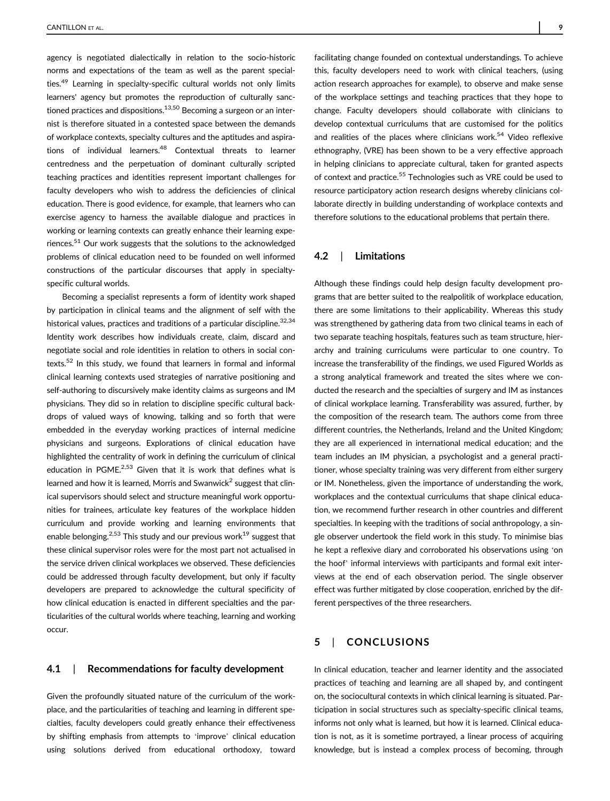agency is negotiated dialectically in relation to the socio-historic norms and expectations of the team as well as the parent specialties.<sup>49</sup> Learning in specialty-specific cultural worlds not only limits learners' agency but promotes the reproduction of culturally sanctioned practices and dispositions. $13,50$  Becoming a surgeon or an internist is therefore situated in a contested space between the demands of workplace contexts, specialty cultures and the aptitudes and aspirations of individual learners.<sup>48</sup> Contextual threats to learner centredness and the perpetuation of dominant culturally scripted teaching practices and identities represent important challenges for faculty developers who wish to address the deficiencies of clinical education. There is good evidence, for example, that learners who can exercise agency to harness the available dialogue and practices in working or learning contexts can greatly enhance their learning experiences.<sup>51</sup> Our work suggests that the solutions to the acknowledged problems of clinical education need to be founded on well informed constructions of the particular discourses that apply in specialtyspecific cultural worlds.

Becoming a specialist represents a form of identity work shaped by participation in clinical teams and the alignment of self with the historical values, practices and traditions of a particular discipline.  $32,34$ Identity work describes how individuals create, claim, discard and negotiate social and role identities in relation to others in social contexts.<sup>52</sup> In this study, we found that learners in formal and informal clinical learning contexts used strategies of narrative positioning and self-authoring to discursively make identity claims as surgeons and IM physicians. They did so in relation to discipline specific cultural backdrops of valued ways of knowing, talking and so forth that were embedded in the everyday working practices of internal medicine physicians and surgeons. Explorations of clinical education have highlighted the centrality of work in defining the curriculum of clinical education in PGME.<sup>2,53</sup> Given that it is work that defines what is learned and how it is learned, Morris and Swanwick<sup>2</sup> suggest that clinical supervisors should select and structure meaningful work opportunities for trainees, articulate key features of the workplace hidden curriculum and provide working and learning environments that enable belonging.<sup>2,53</sup> This study and our previous work<sup>19</sup> suggest that these clinical supervisor roles were for the most part not actualised in the service driven clinical workplaces we observed. These deficiencies could be addressed through faculty development, but only if faculty developers are prepared to acknowledge the cultural specificity of how clinical education is enacted in different specialties and the particularities of the cultural worlds where teaching, learning and working occur.

#### 4.1 | Recommendations for faculty development

Given the profoundly situated nature of the curriculum of the workplace, and the particularities of teaching and learning in different specialties, faculty developers could greatly enhance their effectiveness by shifting emphasis from attempts to 'improve' clinical education using solutions derived from educational orthodoxy, toward

facilitating change founded on contextual understandings. To achieve this, faculty developers need to work with clinical teachers, (using action research approaches for example), to observe and make sense of the workplace settings and teaching practices that they hope to change. Faculty developers should collaborate with clinicians to develop contextual curriculums that are customised for the politics and realities of the places where clinicians work.<sup>54</sup> Video reflexive ethnography, (VRE) has been shown to be a very effective approach in helping clinicians to appreciate cultural, taken for granted aspects of context and practice.<sup>55</sup> Technologies such as VRE could be used to resource participatory action research designs whereby clinicians collaborate directly in building understanding of workplace contexts and therefore solutions to the educational problems that pertain there.

#### 4.2 | Limitations

Although these findings could help design faculty development programs that are better suited to the realpolitik of workplace education, there are some limitations to their applicability. Whereas this study was strengthened by gathering data from two clinical teams in each of two separate teaching hospitals, features such as team structure, hierarchy and training curriculums were particular to one country. To increase the transferability of the findings, we used Figured Worlds as a strong analytical framework and treated the sites where we conducted the research and the specialties of surgery and IM as instances of clinical workplace learning. Transferability was assured, further, by the composition of the research team. The authors come from three different countries, the Netherlands, Ireland and the United Kingdom; they are all experienced in international medical education; and the team includes an IM physician, a psychologist and a general practitioner, whose specialty training was very different from either surgery or IM. Nonetheless, given the importance of understanding the work, workplaces and the contextual curriculums that shape clinical education, we recommend further research in other countries and different specialties. In keeping with the traditions of social anthropology, a single observer undertook the field work in this study. To minimise bias he kept a reflexive diary and corroborated his observations using 'on the hoof' informal interviews with participants and formal exit interviews at the end of each observation period. The single observer effect was further mitigated by close cooperation, enriched by the different perspectives of the three researchers.

# 5 | CONCLUSIONS

In clinical education, teacher and learner identity and the associated practices of teaching and learning are all shaped by, and contingent on, the sociocultural contexts in which clinical learning is situated. Participation in social structures such as specialty-specific clinical teams, informs not only what is learned, but how it is learned. Clinical education is not, as it is sometime portrayed, a linear process of acquiring knowledge, but is instead a complex process of becoming, through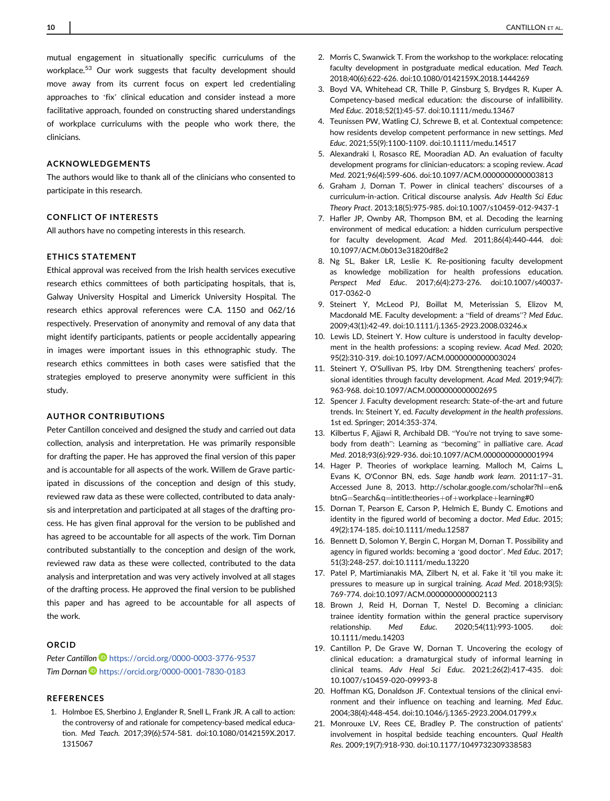mutual engagement in situationally specific curriculums of the workplace.<sup>53</sup> Our work suggests that faculty development should move away from its current focus on expert led credentialing approaches to 'fix' clinical education and consider instead a more facilitative approach, founded on constructing shared understandings of workplace curriculums with the people who work there, the clinicians.

#### ACKNOWLEDGEMENTS

The authors would like to thank all of the clinicians who consented to participate in this research.

#### CONFLICT OF INTERESTS

All authors have no competing interests in this research.

#### ETHICS STATEMENT

Ethical approval was received from the Irish health services executive research ethics committees of both participating hospitals, that is, Galway University Hospital and Limerick University Hospital. The research ethics approval references were C.A. 1150 and 062/16 respectively. Preservation of anonymity and removal of any data that might identify participants, patients or people accidentally appearing in images were important issues in this ethnographic study. The research ethics committees in both cases were satisfied that the strategies employed to preserve anonymity were sufficient in this study.

#### AUTHOR CONTRIBUTIONS

Peter Cantillon conceived and designed the study and carried out data collection, analysis and interpretation. He was primarily responsible for drafting the paper. He has approved the final version of this paper and is accountable for all aspects of the work. Willem de Grave participated in discussions of the conception and design of this study, reviewed raw data as these were collected, contributed to data analysis and interpretation and participated at all stages of the drafting process. He has given final approval for the version to be published and has agreed to be accountable for all aspects of the work. Tim Dornan contributed substantially to the conception and design of the work, reviewed raw data as these were collected, contributed to the data analysis and interpretation and was very actively involved at all stages of the drafting process. He approved the final version to be published this paper and has agreed to be accountable for all aspects of the work.

#### ORCID

Peter Cantillon D <https://orcid.org/0000-0003-3776-9537> Tim Dornan D<https://orcid.org/0000-0001-7830-0183>

#### REFERENCES

1. Holmboe ES, Sherbino J, Englander R, Snell L, Frank JR. A call to action: the controversy of and rationale for competency-based medical education. Med Teach. 2017;39(6):574-581. doi:[10.1080/0142159X.2017.](info:doi/10.1080/0142159X.2017.1315067) [1315067](info:doi/10.1080/0142159X.2017.1315067)

- 2. Morris C, Swanwick T. From the workshop to the workplace: relocating faculty development in postgraduate medical education. Med Teach. 2018;40(6):622-626. doi:[10.1080/0142159X.2018.1444269](info:doi/10.1080/0142159X.2018.1444269)
- 3. Boyd VA, Whitehead CR, Thille P, Ginsburg S, Brydges R, Kuper A. Competency-based medical education: the discourse of infallibility. Med Educ. 2018;52(1):45-57. doi[:10.1111/medu.13467](info:doi/10.1111/medu.13467)
- 4. Teunissen PW, Watling CJ, Schrewe B, et al. Contextual competence: how residents develop competent performance in new settings. Med Educ. 2021;55(9):1100-1109. doi:[10.1111/medu.14517](info:doi/10.1111/medu.14517)
- 5. Alexandraki I, Rosasco RE, Mooradian AD. An evaluation of faculty development programs for clinician-educators: a scoping review. Acad Med. 2021;96(4):599-606. doi:[10.1097/ACM.0000000000003813](info:doi/10.1097/ACM.0000000000003813)
- 6. Graham J, Dornan T. Power in clinical teachers' discourses of a curriculum-in-action. Critical discourse analysis. Adv Health Sci Educ Theory Pract. 2013;18(5):975-985. doi:[10.1007/s10459-012-9437-1](info:doi/10.1007/s10459-012-9437-1)
- 7. Hafler JP, Ownby AR, Thompson BM, et al. Decoding the learning environment of medical education: a hidden curriculum perspective for faculty development. Acad Med. 2011;86(4):440-444. doi: [10.1097/ACM.0b013e31820df8e2](info:doi/10.1097/ACM.0b013e31820df8e2)
- 8. Ng SL, Baker LR, Leslie K. Re-positioning faculty development as knowledge mobilization for health professions education. Perspect Med Educ. 2017;6(4):273-276. doi[:10.1007/s40037-](info:doi/10.1007/s40037-017-0362-0) [017-0362-0](info:doi/10.1007/s40037-017-0362-0)
- 9. Steinert Y, McLeod PJ, Boillat M, Meterissian S, Elizov M, Macdonald ME. Faculty development: a "field of dreams"? Med Educ. 2009;43(1):42-49. doi:[10.1111/j.1365-2923.2008.03246.x](info:doi/10.1111/j.1365-2923.2008.03246.x)
- 10. Lewis LD, Steinert Y. How culture is understood in faculty development in the health professions: a scoping review. Acad Med. 2020; 95(2):310-319. doi:[10.1097/ACM.0000000000003024](info:doi/10.1097/ACM.0000000000003024)
- 11. Steinert Y, O'Sullivan PS, Irby DM. Strengthening teachers' professional identities through faculty development. Acad Med. 2019;94(7): 963-968. doi:[10.1097/ACM.0000000000002695](info:doi/10.1097/ACM.0000000000002695)
- 12. Spencer J. Faculty development research: State-of-the-art and future trends. In: Steinert Y, ed. Faculty development in the health professions. 1st ed. Springer; 2014:353-374.
- 13. Kilbertus F, Ajjawi R, Archibald DB. "You're not trying to save somebody from death": Learning as "becoming" in palliative care. Acad Med. 2018;93(6):929-936. doi[:10.1097/ACM.0000000000001994](info:doi/10.1097/ACM.0000000000001994)
- 14. Hager P. Theories of workplace learning. Malloch M, Cairns L, Evans K, O'Connor BN, eds. Sage handb work learn. 2011:17–31. Accessed June 8, 2013. [http://scholar.google.com/scholar?hl](http://scholar.google.com/scholar?hl=en&btnG=Search&q=intitle:theories+of+workplace+learning#0)=en& btnG=Search&q=[intitle:theories](http://scholar.google.com/scholar?hl=en&btnG=Search&q=intitle:theories+of+workplace+learning#0)+of+workplace+learning#0
- 15. Dornan T, Pearson E, Carson P, Helmich E, Bundy C. Emotions and identity in the figured world of becoming a doctor. Med Educ. 2015; 49(2):174-185. doi:[10.1111/medu.12587](info:doi/10.1111/medu.12587)
- 16. Bennett D, Solomon Y, Bergin C, Horgan M, Dornan T. Possibility and agency in figured worlds: becoming a 'good doctor'. Med Educ. 2017; 51(3):248-257. doi:[10.1111/medu.13220](info:doi/10.1111/medu.13220)
- 17. Patel P, Martimianakis MA, Zilbert N, et al. Fake it 'til you make it: pressures to measure up in surgical training. Acad Med. 2018;93(5): 769-774. doi:[10.1097/ACM.0000000000002113](info:doi/10.1097/ACM.0000000000002113)
- 18. Brown J, Reid H, Dornan T, Nestel D. Becoming a clinician: trainee identity formation within the general practice supervisory relationship. Med Educ. 2020;54(11):993-1005. doi: [10.1111/medu.14203](info:doi/10.1111/medu.14203)
- 19. Cantillon P, De Grave W, Dornan T. Uncovering the ecology of clinical education: a dramaturgical study of informal learning in clinical teams. Adv Heal Sci Educ. 2021;26(2):417-435. doi: [10.1007/s10459-020-09993-8](info:doi/10.1007/s10459-020-09993-8)
- 20. Hoffman KG, Donaldson JF. Contextual tensions of the clinical environment and their influence on teaching and learning. Med Educ. 2004;38(4):448-454. doi:[10.1046/j.1365-2923.2004.01799.x](info:doi/10.1046/j.1365-2923.2004.01799.x)
- 21. Monrouxe LV, Rees CE, Bradley P. The construction of patients' involvement in hospital bedside teaching encounters. Qual Health Res. 2009;19(7):918-930. doi[:10.1177/1049732309338583](info:doi/10.1177/1049732309338583)